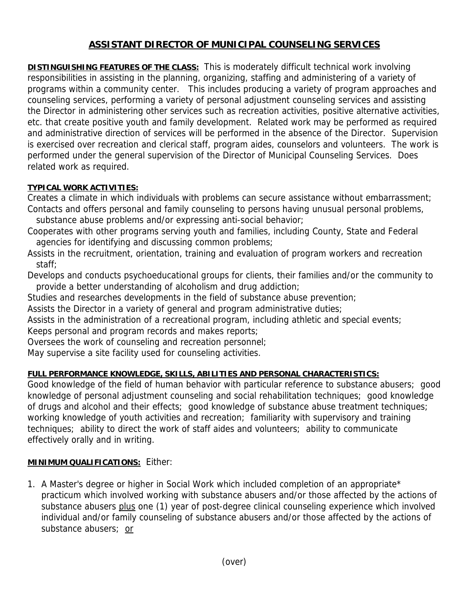# **ASSISTANT DIRECTOR OF MUNICIPAL COUNSELING SERVICES**

**DISTINGUISHING FEATURES OF THE CLASS:** This is moderately difficult technical work involving responsibilities in assisting in the planning, organizing, staffing and administering of a variety of programs within a community center. This includes producing a variety of program approaches and counseling services, performing a variety of personal adjustment counseling services and assisting the Director in administering other services such as recreation activities, positive alternative activities, etc. that create positive youth and family development. Related work may be performed as required and administrative direction of services will be performed in the absence of the Director. Supervision is exercised over recreation and clerical staff, program aides, counselors and volunteers. The work is performed under the general supervision of the Director of Municipal Counseling Services. Does related work as required.

### **TYPICAL WORK ACTIVITIES:**

Creates a climate in which individuals with problems can secure assistance without embarrassment; Contacts and offers personal and family counseling to persons having unusual personal problems,

- substance abuse problems and/or expressing anti-social behavior;
- Cooperates with other programs serving youth and families, including County, State and Federal agencies for identifying and discussing common problems;
- Assists in the recruitment, orientation, training and evaluation of program workers and recreation staff;

Develops and conducts psychoeducational groups for clients, their families and/or the community to provide a better understanding of alcoholism and drug addiction;

Studies and researches developments in the field of substance abuse prevention;

Assists the Director in a variety of general and program administrative duties;

Assists in the administration of a recreational program, including athletic and special events; Keeps personal and program records and makes reports;

Oversees the work of counseling and recreation personnel;

May supervise a site facility used for counseling activities.

# **FULL PERFORMANCE KNOWLEDGE, SKILLS, ABILITIES AND PERSONAL CHARACTERISTICS:**

Good knowledge of the field of human behavior with particular reference to substance abusers; good knowledge of personal adjustment counseling and social rehabilitation techniques; good knowledge of drugs and alcohol and their effects; good knowledge of substance abuse treatment techniques; working knowledge of youth activities and recreation; familiarity with supervisory and training techniques; ability to direct the work of staff aides and volunteers; ability to communicate effectively orally and in writing.

# **MINIMUM QUALIFICATIONS:** Either:

1. A Master's degree or higher in Social Work which included completion of an appropriate\* practicum which involved working with substance abusers and/or those affected by the actions of substance abusers plus one (1) year of post-degree clinical counseling experience which involved individual and/or family counseling of substance abusers and/or those affected by the actions of substance abusers; or